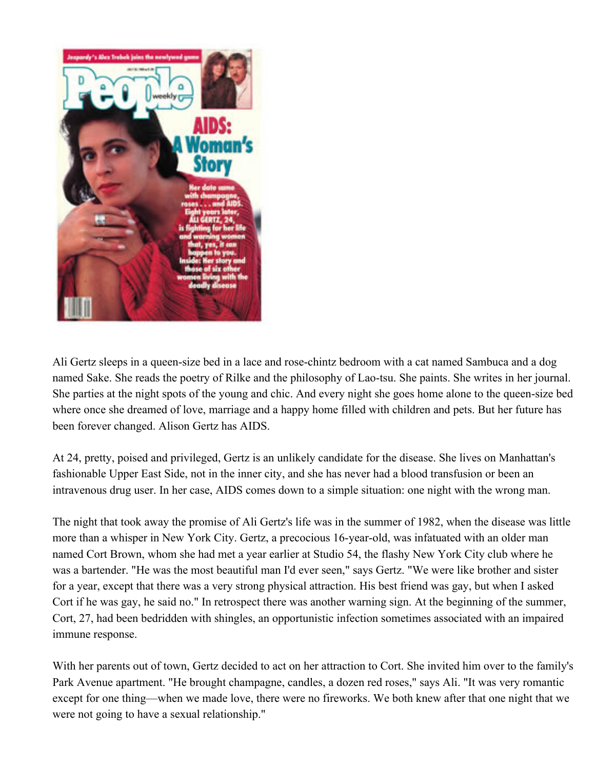

Ali Gertz sleeps in a queen-size bed in a lace and rose-chintz bedroom with a cat named Sambuca and a dog named Sake. She reads the poetry of Rilke and the philosophy of Lao-tsu. She paints. She writes in her journal. She parties at the night spots of the young and chic. And every night she goes home alone to the queen-size bed where once she dreamed of love, marriage and a happy home filled with children and pets. But her future has been forever changed. Alison Gertz has AIDS.

At 24, pretty, poised and privileged, Gertz is an unlikely candidate for the disease. She lives on Manhattan's fashionable Upper East Side, not in the inner city, and she has never had a blood transfusion or been an intravenous drug user. In her case, AIDS comes down to a simple situation: one night with the wrong man.

The night that took away the promise of Ali Gertz's life was in the summer of 1982, when the disease was little more than a whisper in New York City. Gertz, a precocious 16-year-old, was infatuated with an older man named Cort Brown, whom she had met a year earlier at Studio 54, the flashy New York City club where he was a bartender. "He was the most beautiful man I'd ever seen," says Gertz. "We were like brother and sister for a year, except that there was a very strong physical attraction. His best friend was gay, but when I asked Cort if he was gay, he said no." In retrospect there was another warning sign. At the beginning of the summer, Cort, 27, had been bedridden with shingles, an opportunistic infection sometimes associated with an impaired immune response.

With her parents out of town, Gertz decided to act on her attraction to Cort. She invited him over to the family's Park Avenue apartment. "He brought champagne, candles, a dozen red roses," says Ali. "It was very romantic except for one thing—when we made love, there were no fireworks. We both knew after that one night that we were not going to have a sexual relationship."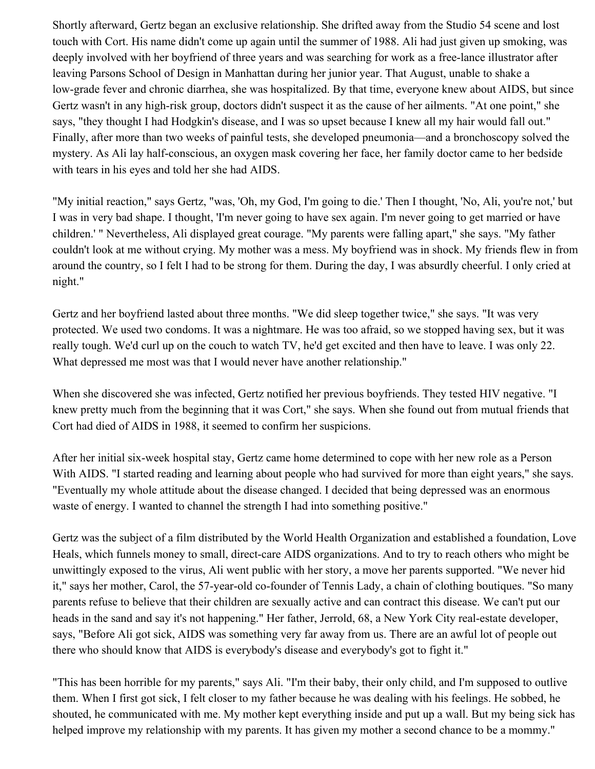Shortly afterward, Gertz began an exclusive relationship. She drifted away from the Studio 54 scene and lost touch with Cort. His name didn't come up again until the summer of 1988. Ali had just given up smoking, was deeply involved with her boyfriend of three years and was searching for work as a free-lance illustrator after leaving Parsons School of Design in Manhattan during her junior year. That August, unable to shake a low-grade fever and chronic diarrhea, she was hospitalized. By that time, everyone knew about AIDS, but since Gertz wasn't in any high-risk group, doctors didn't suspect it as the cause of her ailments. "At one point," she says, "they thought I had Hodgkin's disease, and I was so upset because I knew all my hair would fall out." Finally, after more than two weeks of painful tests, she developed pneumonia—and a bronchoscopy solved the mystery. As Ali lay half-conscious, an oxygen mask covering her face, her family doctor came to her bedside with tears in his eyes and told her she had AIDS.

"My initial reaction," says Gertz, "was, 'Oh, my God, I'm going to die.' Then I thought, 'No, Ali, you're not,' but I was in very bad shape. I thought, 'I'm never going to have sex again. I'm never going to get married or have children.' " Nevertheless, Ali displayed great courage. "My parents were falling apart," she says. "My father couldn't look at me without crying. My mother was a mess. My boyfriend was in shock. My friends flew in from around the country, so I felt I had to be strong for them. During the day, I was absurdly cheerful. I only cried at night."

Gertz and her boyfriend lasted about three months. "We did sleep together twice," she says. "It was very protected. We used two condoms. It was a nightmare. He was too afraid, so we stopped having sex, but it was really tough. We'd curl up on the couch to watch TV, he'd get excited and then have to leave. I was only 22. What depressed me most was that I would never have another relationship."

When she discovered she was infected, Gertz notified her previous boyfriends. They tested HIV negative. "I knew pretty much from the beginning that it was Cort," she says. When she found out from mutual friends that Cort had died of AIDS in 1988, it seemed to confirm her suspicions.

After her initial six-week hospital stay, Gertz came home determined to cope with her new role as a Person With AIDS. "I started reading and learning about people who had survived for more than eight years," she says. "Eventually my whole attitude about the disease changed. I decided that being depressed was an enormous waste of energy. I wanted to channel the strength I had into something positive."

Gertz was the subject of a film distributed by the World Health Organization and established a foundation, Love Heals, which funnels money to small, direct-care AIDS organizations. And to try to reach others who might be unwittingly exposed to the virus, Ali went public with her story, a move her parents supported. "We never hid it," says her mother, Carol, the 57-year-old co-founder of Tennis Lady, a chain of clothing boutiques. "So many parents refuse to believe that their children are sexually active and can contract this disease. We can't put our heads in the sand and say it's not happening." Her father, Jerrold, 68, a New York City real-estate developer, says, "Before Ali got sick, AIDS was something very far away from us. There are an awful lot of people out there who should know that AIDS is everybody's disease and everybody's got to fight it."

"This has been horrible for my parents," says Ali. "I'm their baby, their only child, and I'm supposed to outlive them. When I first got sick, I felt closer to my father because he was dealing with his feelings. He sobbed, he shouted, he communicated with me. My mother kept everything inside and put up a wall. But my being sick has helped improve my relationship with my parents. It has given my mother a second chance to be a mommy."